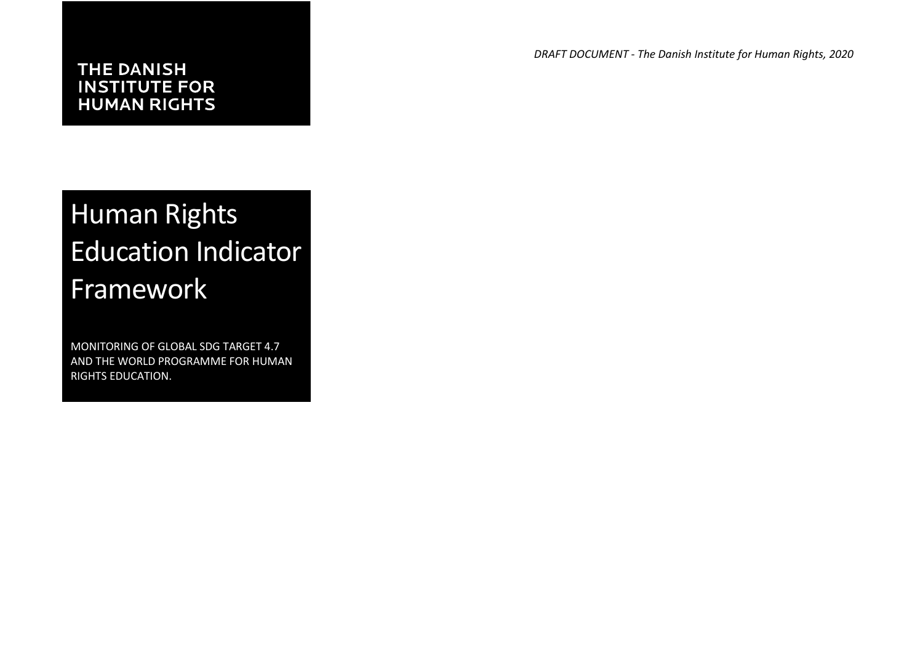## **INSTITUTE FOR HUMAN RIGHTS**

*DRAFT DOCUMENT - The Danish Institute for Human Rights, 2020*

# Human Rights Education Indicator Framework

MONITORING OF GLOBAL SDG TARGET 4.7 AND THE WORLD PROGRAMME FOR HUMAN RIGHTS EDUCATION.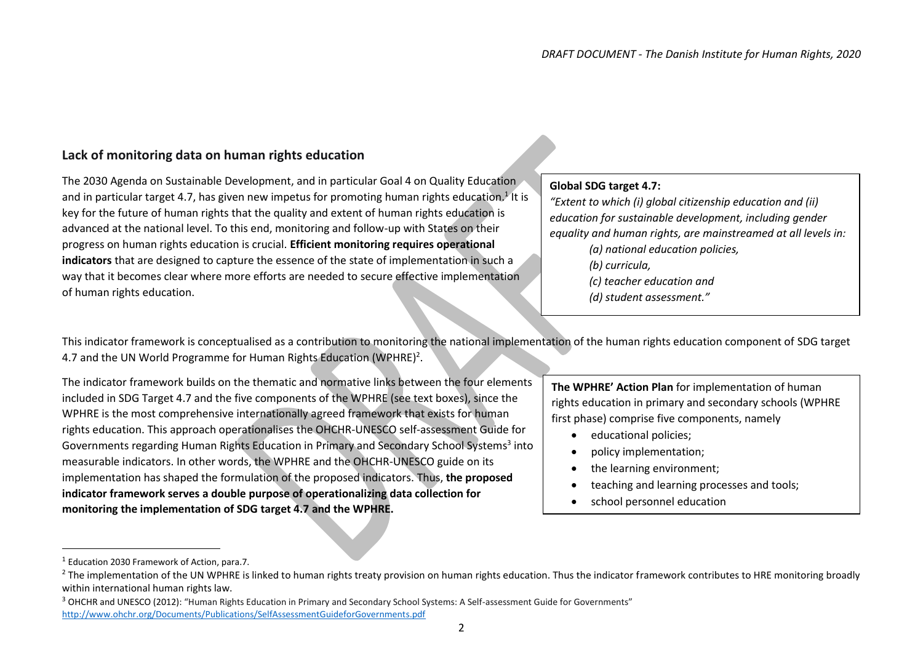#### **Lack of monitoring data on human rights education**

The 2030 Agenda on Sustainable Development, and in particular Goal 4 on Quality Education and in particular target 4.7, has given new impetus for promoting human rights education.<sup>1</sup> It is key for the future of human rights that the quality and extent of human rights education is advanced at the national level. To this end, monitoring and follow-up with States on their progress on human rights education is crucial. **Efficient monitoring requires operational indicators** that are designed to capture the essence of the state of implementation in such a way that it becomes clear where more efforts are needed to secure effective implementation of human rights education.

#### **Global SDG target 4.7:**

*"Extent to which (i) global citizenship education and (ii) education for sustainable development, including gender equality and human rights, are mainstreamed at all levels in: (a) national education policies, (b) curricula, (c) teacher education and (d) student assessment."*

This indicator framework is conceptualised as a contribution to monitoring the national implementation of the human rights education component of SDG target 4.7 and the UN World Programme for Human Rights Education (WPHRE)<sup>2</sup>.

The indicator framework builds on the thematic and normative links between the four elements included in SDG Target 4.7 and the five components of the WPHRE (see text boxes), since the WPHRE is the most comprehensive internationally agreed framework that exists for human rights education. This approach operationalises the OHCHR-UNESCO self-assessment Guide for Governments regarding Human Rights Education in Primary and Secondary School Systems<sup>3</sup> into measurable indicators. In other words, the WPHRE and the OHCHR-UNESCO guide on its implementation has shaped the formulation of the proposed indicators. Thus, **the proposed indicator framework serves a double purpose of operationalizing data collection for monitoring the implementation of SDG target 4.7 and the WPHRE.**

**The WPHRE' Action Plan** for implementation of human rights education in primary and secondary schools (WPHRE first phase) comprise five components, namely

- educational policies;
- policy implementation;
- the learning environment:
- teaching and learning processes and tools;
- school personnel education

 $\overline{a}$ 

<sup>1</sup> Education 2030 Framework of Action, para.7.

<sup>&</sup>lt;sup>2</sup> The implementation of the UN WPHRE is linked to human rights treaty provision on human rights education. Thus the indicator framework contributes to HRE monitoring broadly within international human rights law.

<sup>&</sup>lt;sup>3</sup> OHCHR and UNESCO (2012): "Human Rights Education in Primary and Secondary School Systems: A Self-assessment Guide for Governments" <http://www.ohchr.org/Documents/Publications/SelfAssessmentGuideforGovernments.pdf>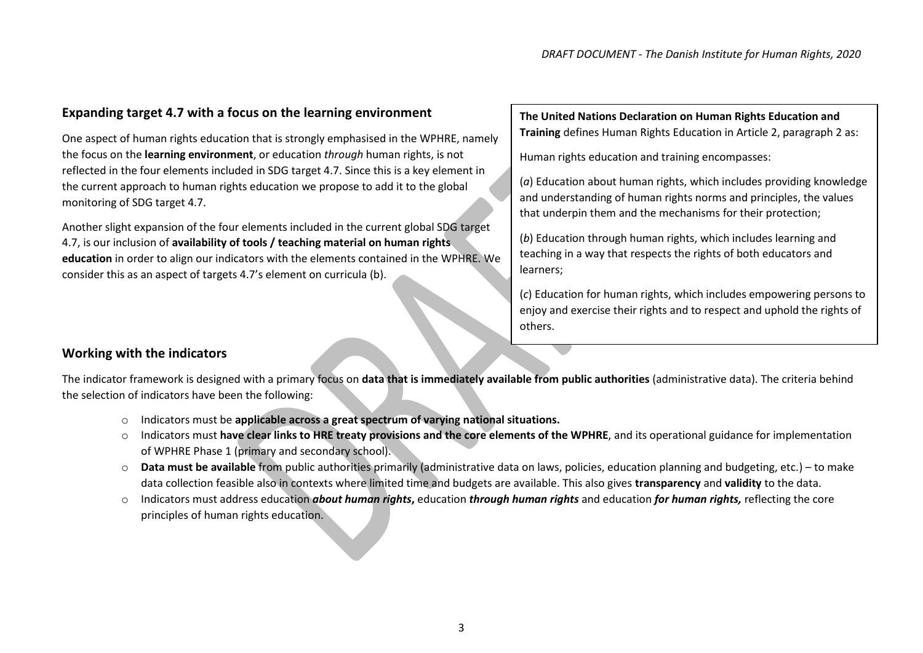#### **Expanding target 4.7 with a focus on the learning environment**

One aspect of human rights education that is strongly emphasised in the WPHRE, namely the focus on the **learning environment**, or education *through* human rights, is not reflected in the four elements included in SDG target 4.7. Since this is a key element in the current approach to human rights education we propose to add it to the global monitoring of SDG target 4.7.

Another slight expansion of the four elements included in the current global SDG target 4.7, is our inclusion of **availability of tools / teaching material on human rights education** in order to align our indicators with the elements contained in the WPHRE. We consider this as an aspect of targets 4.7's element on curricula (b).

#### **The United Nations Declaration on Human Rights Education and Training** defines Human Rights Education in Article 2, paragraph 2 as:

Human rights education and training encompasses:

(*a*) Education about human rights, which includes providing knowledge and understanding of human rights norms and principles, the values that underpin them and the mechanisms for their protection;

(*b*) Education through human rights, which includes learning and teaching in a way that respects the rights of both educators and learners;

(*c*) Education for human rights, which includes empowering persons to enjoy and exercise their rights and to respect and uphold the rights of others.

#### **Working with the indicators**

The indicator framework is designed with a primary focus on **data that is immediately available from public authorities** (administrative data). The criteria behind the selection of indicators have been the following:

- o Indicators must be **applicable across a great spectrum of varying national situations.**
- o Indicators must **have clear links to HRE treaty provisions and the core elements of the WPHRE**, and its operational guidance for implementation of WPHRE Phase 1 (primary and secondary school).
- o **Data must be available** from public authorities primarily (administrative data on laws, policies, education planning and budgeting, etc.) to make data collection feasible also in contexts where limited time and budgets are available. This also gives **transparency** and **validity** to the data.
- o Indicators must address education *about human rights***,** education *through human rights* and education *for human rights,* reflecting the core principles of human rights education.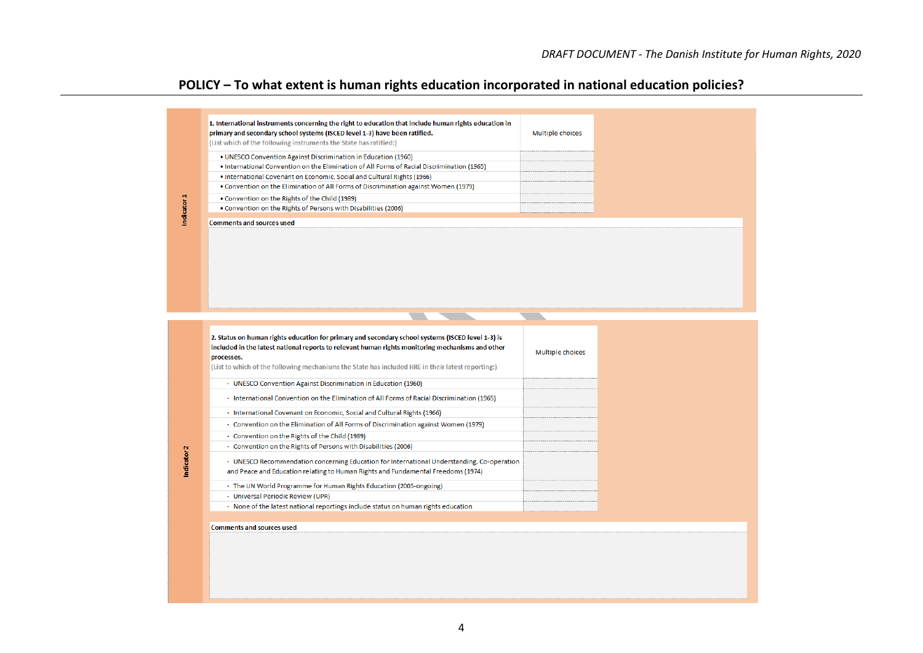## **POLICY – To what extent is human rights education incorporated in national education policies?**

| 1. International instruments concerning the right to education that include human rights education in<br>primary and secondary school systems (ISCED level 1-3) have been ratified.<br>(List which of the following instruments the State has ratified:)<br>. UNESCO Convention Against Discrimination in Education (1960)<br>. International Convention on the Elimination of All Forms of Racial Discrimination (1965)<br>. International Covenant on Economic, Social and Cultural Rights (1966)<br>• Convention on the Elimination of All Forms of Discrimination against Women (1979)<br>Indicator 1<br>. Convention on the Rights of the Child (1989)<br>. Convention on the Rights of Persons with Disabilities (2006)<br><b>Comments and sources used</b>                                                                                                                                | Multiple choices |  |
|--------------------------------------------------------------------------------------------------------------------------------------------------------------------------------------------------------------------------------------------------------------------------------------------------------------------------------------------------------------------------------------------------------------------------------------------------------------------------------------------------------------------------------------------------------------------------------------------------------------------------------------------------------------------------------------------------------------------------------------------------------------------------------------------------------------------------------------------------------------------------------------------------|------------------|--|
| 2. Status on human rights education for primary and secondary school systems (ISCED level 1-3) is<br>included in the latest national reports to relevant human rights monitoring mechanisms and other<br>processes.<br>(List to which of the following mechanisms the State has included HRE in their latest reporting:)                                                                                                                                                                                                                                                                                                                                                                                                                                                                                                                                                                         | Multiple choices |  |
| · UNESCO Convention Against Discrimination in Education (1960)<br>· International Convention on the Elimination of All Forms of Racial Discrimination (1965)<br>· International Covenant on Economic, Social and Cultural Rights (1966)<br>Convention on the Elimination of All Forms of Discrimination against Women (1979)<br>· Convention on the Rights of the Child (1989)<br>· Convention on the Rights of Persons with Disabilities (2006)<br>Indicator <sub>2</sub><br>· UNESCO Recommendation concerning Education for International Understanding, Co-operation<br>and Peace and Education relating to Human Rights and Fundamental Freedoms (1974)<br>· The UN World Programme for Human Rights Education (2005-ongoing)<br>· Universal Periodic Review (UPR)<br>· None of the latest national reportings include status on human rights education<br><b>Comments and sources used</b> |                  |  |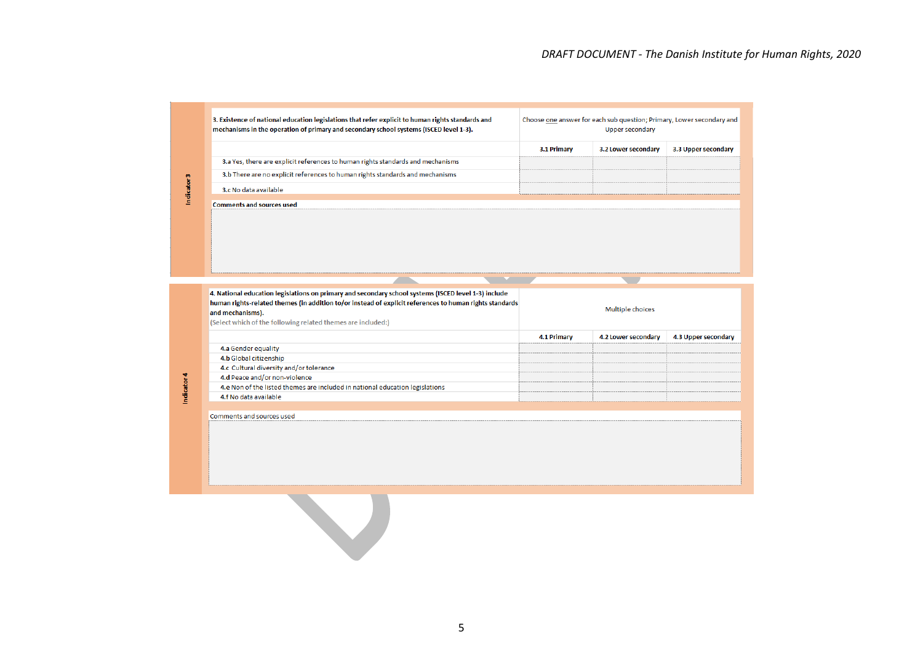|                        | 3. Existence of national education legislations that refer explicit to human rights standards and<br>mechanisms in the operation of primary and secondary school systems (ISCED level 1-3).                                                                                                         |             | Choose one answer for each sub question; Primary, Lower secondary and<br><b>Upper secondary</b> |                     |
|------------------------|-----------------------------------------------------------------------------------------------------------------------------------------------------------------------------------------------------------------------------------------------------------------------------------------------------|-------------|-------------------------------------------------------------------------------------------------|---------------------|
|                        |                                                                                                                                                                                                                                                                                                     | 3.1 Primary | 3.2 Lower secondary                                                                             | 3.3 Upper secondary |
|                        | 3.a Yes, there are explicit references to human rights standards and mechanisms                                                                                                                                                                                                                     |             |                                                                                                 |                     |
|                        | 3.b There are no explicit references to human rights standards and mechanisms                                                                                                                                                                                                                       |             |                                                                                                 |                     |
| Indicator <sub>3</sub> | 3.c No data available                                                                                                                                                                                                                                                                               |             |                                                                                                 |                     |
|                        | <b>Comments and sources used</b>                                                                                                                                                                                                                                                                    |             |                                                                                                 |                     |
|                        |                                                                                                                                                                                                                                                                                                     |             |                                                                                                 |                     |
|                        |                                                                                                                                                                                                                                                                                                     |             |                                                                                                 |                     |
|                        | 4. National education legislations on primary and secondary school systems (ISCED level 1-3) include<br>human rights-related themes (in addition to/or instead of explicit references to human rights standards<br>and mechanisms).<br>(Select which of the following related themes are included:) |             | Multiple choices                                                                                |                     |
|                        |                                                                                                                                                                                                                                                                                                     | 4.1 Primary | 4.2 Lower secondary                                                                             | 4.3 Upper secondary |
|                        | 4.a Gender equality                                                                                                                                                                                                                                                                                 |             |                                                                                                 |                     |
|                        | 4.b Global citizenship                                                                                                                                                                                                                                                                              |             |                                                                                                 |                     |
|                        | 4.c Cultural diversity and/or tolerance<br>4.d Peace and/or non-violence                                                                                                                                                                                                                            |             |                                                                                                 |                     |
| Indicator 4            | 4.e Non of the listed themes are included in national education legislations                                                                                                                                                                                                                        |             |                                                                                                 |                     |
|                        | 4.f No data available                                                                                                                                                                                                                                                                               |             |                                                                                                 |                     |
|                        |                                                                                                                                                                                                                                                                                                     |             |                                                                                                 |                     |
|                        | Comments and sources used                                                                                                                                                                                                                                                                           |             |                                                                                                 |                     |
|                        |                                                                                                                                                                                                                                                                                                     |             |                                                                                                 |                     |
|                        |                                                                                                                                                                                                                                                                                                     |             |                                                                                                 |                     |
|                        |                                                                                                                                                                                                                                                                                                     |             |                                                                                                 |                     |
|                        |                                                                                                                                                                                                                                                                                                     |             |                                                                                                 |                     |
|                        |                                                                                                                                                                                                                                                                                                     |             |                                                                                                 |                     |
|                        |                                                                                                                                                                                                                                                                                                     |             |                                                                                                 |                     |
|                        |                                                                                                                                                                                                                                                                                                     |             |                                                                                                 |                     |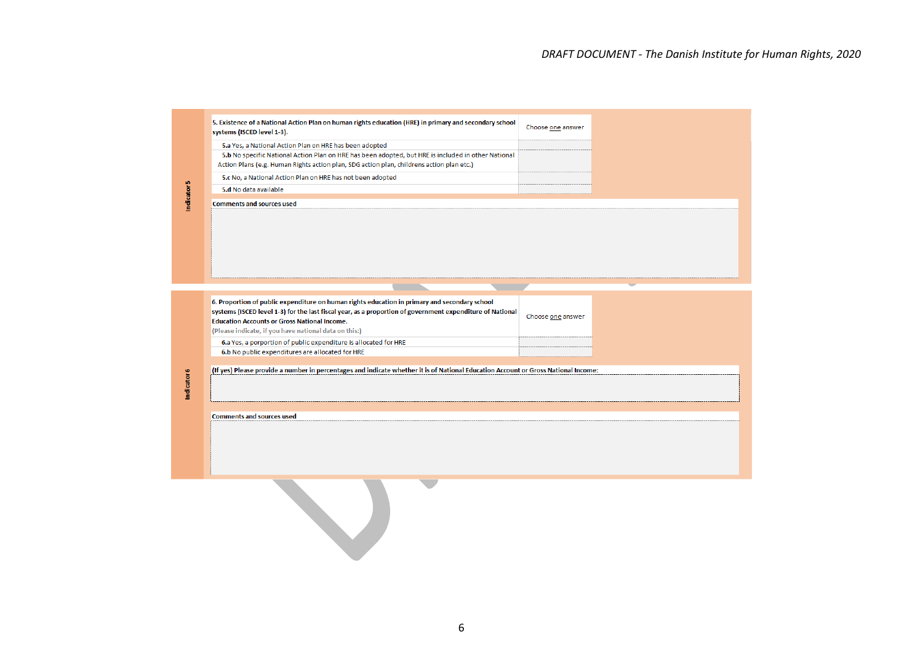|                        | 5. Existence of a National Action Plan on human rights education (HRE) in primary and secondary school<br>systems (ISCED level 1-3). | Choose one answer |  |
|------------------------|--------------------------------------------------------------------------------------------------------------------------------------|-------------------|--|
|                        | 5.a Yes, a National Action Plan on HRE has been adopted                                                                              |                   |  |
|                        | 5.b No specific National Action Plan on HRE has been adopted, but HRE is included in other National                                  |                   |  |
|                        | Action Plans (e.g. Human Rights action plan, SDG action plan, childrens action plan etc.)                                            |                   |  |
|                        | 5.c No, a National Action Plan on HRE has not been adopted                                                                           |                   |  |
|                        | 5.d No data available                                                                                                                |                   |  |
| Indicator <sub>5</sub> | <b>Comments and sources used</b>                                                                                                     |                   |  |
|                        |                                                                                                                                      |                   |  |
|                        | 6. Proportion of public expenditure on human rights education in primary and secondary school                                        |                   |  |
|                        | systems (ISCED level 1-3) for the last fiscal year, as a proportion of government expenditure of National                            |                   |  |
|                        | <b>Education Accounts or Gross National Income.</b>                                                                                  | Choose one answer |  |
|                        | (Please indicate, if you have national data on this:)                                                                                |                   |  |
|                        | 6.a Yes, a porportion of public expenditure is allocated for HRE                                                                     |                   |  |
|                        | 6.b No public expenditures are allocated for HRE                                                                                     |                   |  |
|                        |                                                                                                                                      |                   |  |
|                        | (If yes) Please provide a number in percentages and indicate whether it is of National Education Account or Gross National Income:   |                   |  |
| Indicator 6            |                                                                                                                                      |                   |  |
|                        |                                                                                                                                      |                   |  |
|                        |                                                                                                                                      |                   |  |
|                        | <b>Comments and sources used</b>                                                                                                     |                   |  |
|                        |                                                                                                                                      |                   |  |
|                        |                                                                                                                                      |                   |  |
|                        |                                                                                                                                      |                   |  |
|                        |                                                                                                                                      |                   |  |
|                        |                                                                                                                                      |                   |  |
|                        |                                                                                                                                      |                   |  |
|                        |                                                                                                                                      |                   |  |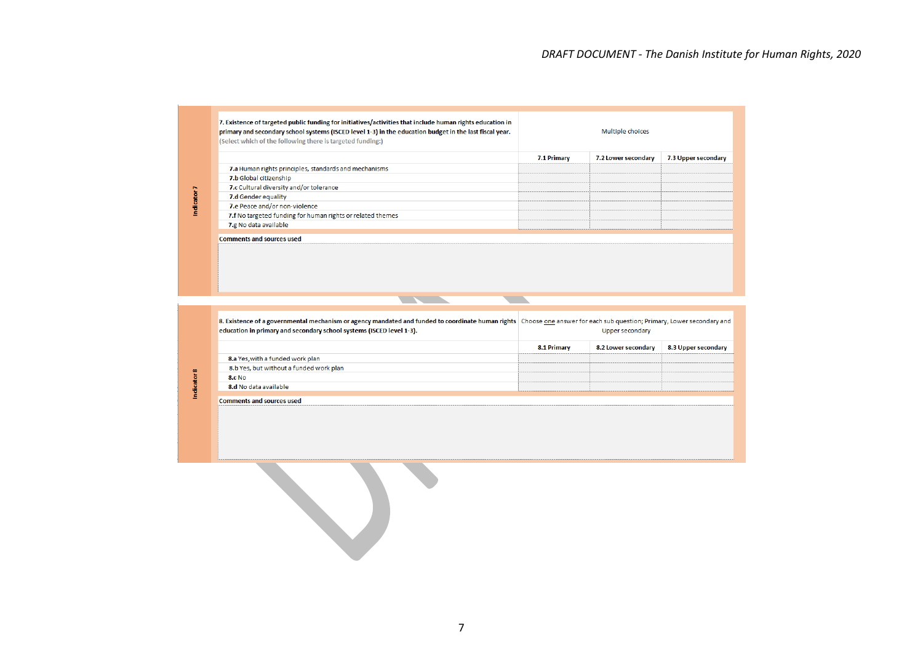|                                                            | 7.1 Primary | 7.2 Lower secondary | 7.3 Upper secondary |
|------------------------------------------------------------|-------------|---------------------|---------------------|
| 7.a Human rights principles, standards and mechanisms      |             |                     |                     |
| 7.b Global citizenship                                     |             |                     |                     |
| 7.c Cultural diversity and/or tolerance                    |             |                     |                     |
| 7.d Gender equality                                        |             |                     |                     |
| 7.e Peace and/or non-violence                              |             |                     |                     |
| 7.f No targeted funding for human rights or related themes |             |                     |                     |
| 7.g No data available                                      |             |                     |                     |
| <b>Comments and sources used</b>                           |             |                     |                     |

8. Existence of a governmental mechanism or agency mandated and funded to coordinate human rights Choose one answer for each sub question; Primary, Lower secondary and education in primary and secondary school systems (ISCED level 1-3). Upper secondary

**The Second Second** 

**The Second Second** 

Indicator 8

|                                         | 8.1 Primary | 8.2 Lower secondary |  |
|-----------------------------------------|-------------|---------------------|--|
| 8.a Yes, with a funded work plan        |             |                     |  |
| 8.b Yes, but without a funded work plan |             |                     |  |
| <b>8.c No</b>                           |             |                     |  |
| 8.d No data available                   |             |                     |  |
| Comments and sources used               |             |                     |  |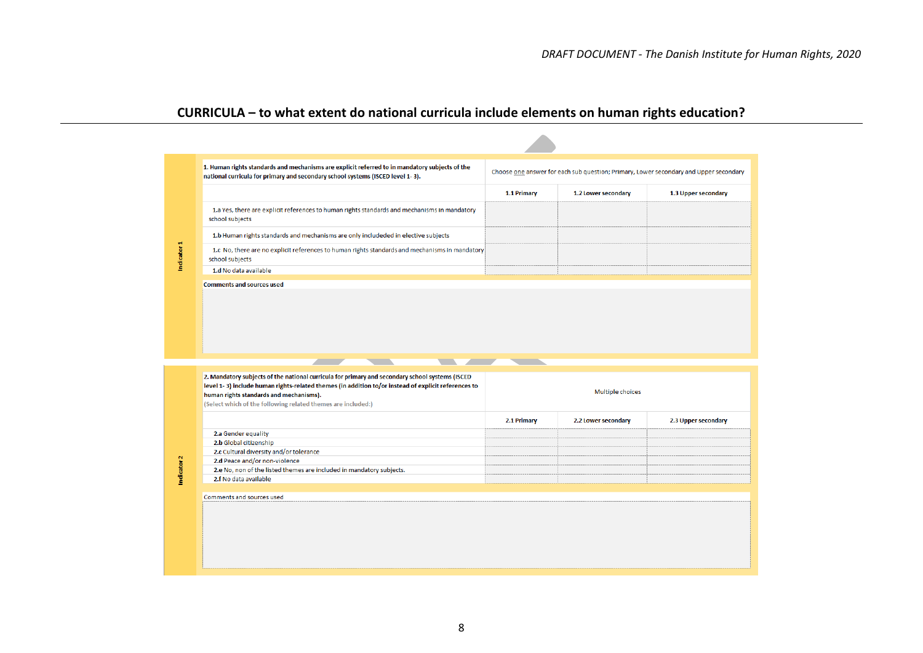## **CURRICULA – to what extent do national curricula include elements on human rights education?**

|                                                                                                                                                                                                                                                   | 1.1 Primary       | 1.2 Lower secondary | 1.3 Upper secondary |
|---------------------------------------------------------------------------------------------------------------------------------------------------------------------------------------------------------------------------------------------------|-------------------|---------------------|---------------------|
|                                                                                                                                                                                                                                                   |                   |                     |                     |
| 1.a Yes, there are explicit references to human rights standards and mechanisms in mandatory<br>school subjects                                                                                                                                   |                   |                     |                     |
| 1.b Human rights standards and mechanisms are only includeded in elective subjects                                                                                                                                                                |                   |                     |                     |
| 1.c No, there are no explicit references to human rights standards and mechanisms in mandatory<br>school subjects                                                                                                                                 |                   |                     |                     |
| 1.d No data available                                                                                                                                                                                                                             |                   |                     |                     |
| <b>Comments and sources used</b>                                                                                                                                                                                                                  |                   |                     |                     |
|                                                                                                                                                                                                                                                   | <b>STATISTICS</b> |                     |                     |
| 2. Mandatory subjects of the national curricula for primary and secondary school systems (ISCED<br>level 1-3) include human rights-related themes (in addition to/or instead of explicit references to<br>human rights standards and mechanisms). |                   | Multiple choices    |                     |
| (Select which of the following related themes are included:)                                                                                                                                                                                      |                   |                     |                     |
|                                                                                                                                                                                                                                                   | 2.1 Primary       | 2.2 Lower secondary |                     |
| 2.a Gender equality                                                                                                                                                                                                                               |                   |                     |                     |
| 2.b Global citizenship                                                                                                                                                                                                                            |                   |                     |                     |
| 2.c Cultural diversity and/or tolerance                                                                                                                                                                                                           |                   |                     |                     |
| 2.d Peace and/or non-violence                                                                                                                                                                                                                     |                   |                     |                     |
| 2.e No, non of the listed themes are included in mandatory subjects.                                                                                                                                                                              |                   |                     |                     |
| 2.f No data available                                                                                                                                                                                                                             |                   |                     |                     |
|                                                                                                                                                                                                                                                   |                   |                     |                     |
| Comments and sources used                                                                                                                                                                                                                         |                   |                     |                     |
|                                                                                                                                                                                                                                                   |                   |                     |                     |
|                                                                                                                                                                                                                                                   |                   |                     | 2.3 Upper secondary |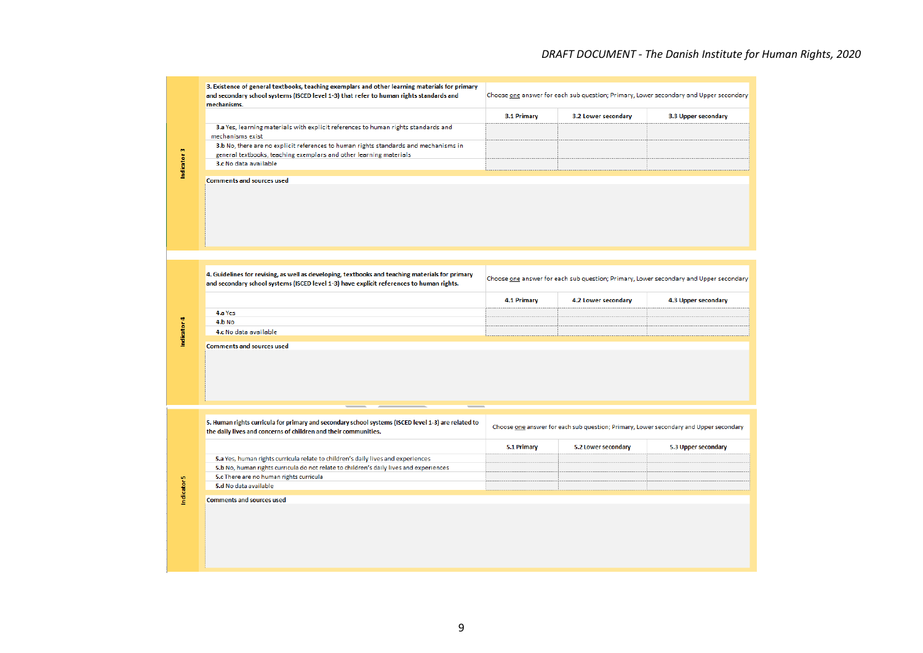### *DRAFT DOCUMENT - The Danish Institute for Human Rights, 2020*

|                        | 3. Existence of general textbooks, teaching exemplars and other learning materials for primary<br>and secondary school systems (ISCED level 1-3) that refer to human rights standards and<br>mechanisms. |             |                     | Choose one answer for each sub question; Primary, Lower secondary and Upper secondary |
|------------------------|----------------------------------------------------------------------------------------------------------------------------------------------------------------------------------------------------------|-------------|---------------------|---------------------------------------------------------------------------------------|
|                        |                                                                                                                                                                                                          | 3.1 Primary | 3.2 Lower secondary | 3.3 Upper secondary                                                                   |
|                        | 3.a Yes, learning materials with explicit references to human rights standards and<br>mechanisms exist                                                                                                   |             |                     |                                                                                       |
|                        | 3.b No, there are no explicit references to human rights standards and mechanisms in<br>general textbooks, teaching exemplars and other learning materials                                               |             |                     |                                                                                       |
| Indicator 3            | 3.c No data available                                                                                                                                                                                    |             |                     |                                                                                       |
|                        | <b>Comments and sources used</b>                                                                                                                                                                         |             |                     |                                                                                       |
|                        |                                                                                                                                                                                                          |             |                     |                                                                                       |
|                        |                                                                                                                                                                                                          |             |                     |                                                                                       |
|                        |                                                                                                                                                                                                          |             |                     |                                                                                       |
|                        |                                                                                                                                                                                                          |             |                     |                                                                                       |
|                        | 4. Guidelines for revising, as well as developing, textbooks and teaching materials for primary<br>and secondary school systems (ISCED level 1-3) have explicit references to human rights.              |             |                     | Choose one answer for each sub question; Primary, Lower secondary and Upper secondary |
|                        |                                                                                                                                                                                                          | 4.1 Primary | 4.2 Lower secondary | 4.3 Upper secondary                                                                   |
|                        | 4.a Yes                                                                                                                                                                                                  |             |                     |                                                                                       |
|                        | 4.b No                                                                                                                                                                                                   |             |                     |                                                                                       |
| Indicator 4            | 4.c No data available                                                                                                                                                                                    |             |                     |                                                                                       |
|                        | <b>Comments and sources used</b>                                                                                                                                                                         |             |                     |                                                                                       |
|                        |                                                                                                                                                                                                          |             |                     |                                                                                       |
|                        |                                                                                                                                                                                                          |             |                     |                                                                                       |
|                        |                                                                                                                                                                                                          |             |                     |                                                                                       |
|                        |                                                                                                                                                                                                          |             |                     |                                                                                       |
|                        |                                                                                                                                                                                                          |             |                     |                                                                                       |
|                        | 5. Human rights curricula for primary and secondary school systems (ISCED level 1-3) are related to<br>the daily lives and concerns of children and their communities.                                   |             |                     | Choose one answer for each sub question; Primary, Lower secondary and Upper secondary |
|                        |                                                                                                                                                                                                          | 5.1 Primary | 5.2 Lower secondary | 5.3 Upper secondary                                                                   |
|                        | 5.a Yes, human rights curricula relate to children's daily lives and experiences                                                                                                                         |             |                     |                                                                                       |
|                        | 5.b No, human rights curricula do not relate to children's daily lives and experiences<br>5.c There are no human rights curricula                                                                        |             |                     |                                                                                       |
|                        | 5.d No data available                                                                                                                                                                                    |             |                     |                                                                                       |
| Indicator <sub>5</sub> | <b>Comments and sources used</b>                                                                                                                                                                         |             |                     |                                                                                       |
|                        |                                                                                                                                                                                                          |             |                     |                                                                                       |
|                        |                                                                                                                                                                                                          |             |                     |                                                                                       |
|                        |                                                                                                                                                                                                          |             |                     |                                                                                       |
|                        |                                                                                                                                                                                                          |             |                     |                                                                                       |
|                        |                                                                                                                                                                                                          |             |                     |                                                                                       |
|                        |                                                                                                                                                                                                          |             |                     |                                                                                       |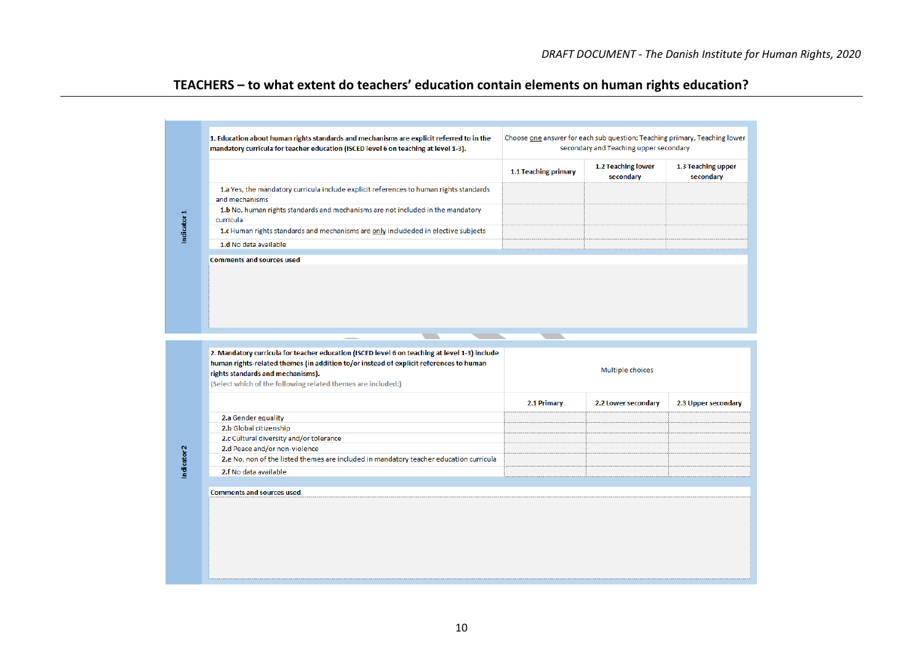## **TEACHERS – to what extent do teachers' education contain elements on human rights education?**

|                                                                                                                                                                                                | 1.1 Teaching primary | 1.2 Teaching lower<br>secondary | 1.3 Teaching upper<br>secondary |
|------------------------------------------------------------------------------------------------------------------------------------------------------------------------------------------------|----------------------|---------------------------------|---------------------------------|
| 1.a Yes, the mandatory curricula include explicit references to human rights standards<br>and mechanisms                                                                                       |                      |                                 |                                 |
| 1.b No, human rights standards and mechanisms are not included in the mandatory<br>curricula                                                                                                   |                      |                                 |                                 |
| 1.c Human rights standards and mechanisms are only includeded in elective subjects                                                                                                             |                      |                                 |                                 |
| 1.d No data available                                                                                                                                                                          |                      |                                 |                                 |
|                                                                                                                                                                                                |                      |                                 |                                 |
| . .<br>2. Mandatory curricula for teacher education (ISCED level 6 on teaching at level 1-3) include<br>human rights-related themes (in addition to/or instead of explicit references to human |                      | Multiple choices                |                                 |
| rights standards and mechanisms).<br>(Select which of the following related themes are included:)                                                                                              |                      |                                 |                                 |
|                                                                                                                                                                                                | 2.1 Primary          | 2.2 Lower secondary             | 2.3 Upper secondary             |
| 2.a Gender equality                                                                                                                                                                            |                      |                                 |                                 |
| 2.b Global citizenship                                                                                                                                                                         |                      |                                 |                                 |
| 2.c Cultural diversity and/or tolerance                                                                                                                                                        |                      |                                 |                                 |
| 2.d Peace and/or non-violence                                                                                                                                                                  |                      |                                 |                                 |
| 2.e No, non of the listed themes are included in mandatory teacher education curricula                                                                                                         |                      |                                 |                                 |
| 2.f No data available                                                                                                                                                                          |                      |                                 |                                 |
|                                                                                                                                                                                                |                      |                                 |                                 |
| <b>Comments and sources used</b>                                                                                                                                                               |                      |                                 |                                 |
|                                                                                                                                                                                                |                      |                                 |                                 |
|                                                                                                                                                                                                |                      |                                 |                                 |

Ï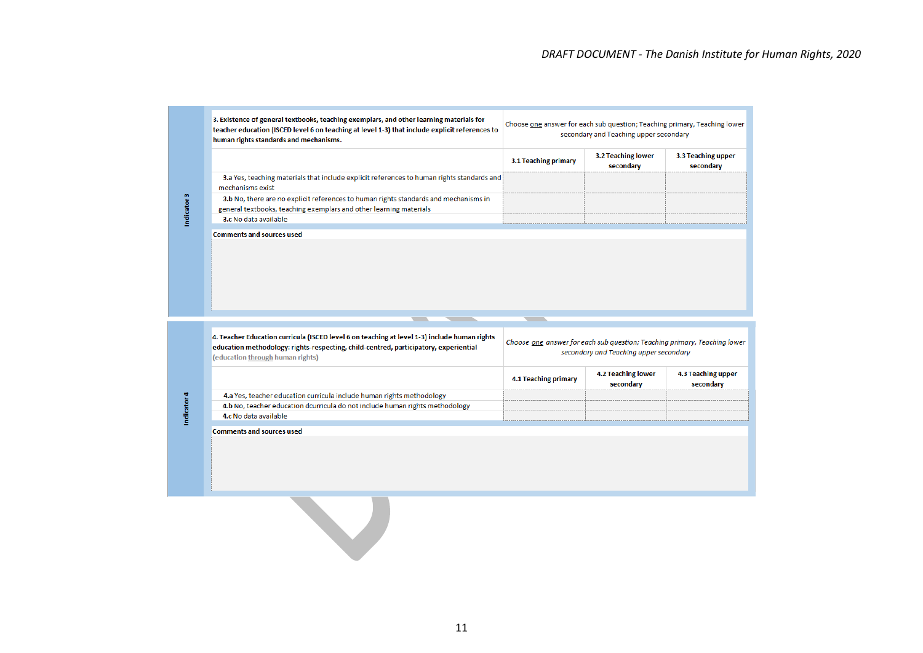| 3. Existence of general textbooks, teaching exemplars, and other learning materials for<br>teacher education (ISCED level 6 on teaching at level 1-3) that include explicit references to<br>human rights standards and mechanisms. |                      | Choose one answer for each sub question; Teaching primary, Teaching lower<br>secondary and Teaching upper secondary |                                 |
|-------------------------------------------------------------------------------------------------------------------------------------------------------------------------------------------------------------------------------------|----------------------|---------------------------------------------------------------------------------------------------------------------|---------------------------------|
|                                                                                                                                                                                                                                     | 3.1 Teaching primary | 3.2 Teaching lower<br>secondary                                                                                     | 3.3 Teaching upper<br>secondary |
| 3.a Yes, teaching materials that include explicit references to human rights standards and<br>mechanisms exist                                                                                                                      |                      |                                                                                                                     |                                 |
| 3.b No, there are no explicit references to human rights standards and mechanisms in<br>general textbooks, teaching exemplars and other learning materials                                                                          |                      |                                                                                                                     |                                 |
| 3.c No data available                                                                                                                                                                                                               |                      |                                                                                                                     |                                 |
| <b>Comments and sources used</b>                                                                                                                                                                                                    |                      |                                                                                                                     |                                 |
|                                                                                                                                                                                                                                     |                      |                                                                                                                     |                                 |
|                                                                                                                                                                                                                                     |                      |                                                                                                                     |                                 |
|                                                                                                                                                                                                                                     |                      |                                                                                                                     |                                 |
| 4. Teacher Education curricula (ISCED level 6 on teaching at level 1-3) include human rights<br>education methodology: rights-respecting, child-centred, participatory, experiential<br>(education through human rights)            |                      | Choose one answer for each sub question; Teaching primary, Teaching lower<br>secondary and Teaching upper secondary |                                 |
|                                                                                                                                                                                                                                     | 4.1 Teaching primary | <b>4.2 Teaching lower</b><br>secondary                                                                              |                                 |
| 4.a Yes, teacher education curricula include human rights methodology                                                                                                                                                               |                      |                                                                                                                     | 4.3 Teaching upper<br>secondary |
| 4.b No, teacher education dcurricula do not include human rights methodology                                                                                                                                                        |                      |                                                                                                                     |                                 |
| 4.c No data available                                                                                                                                                                                                               |                      |                                                                                                                     |                                 |

11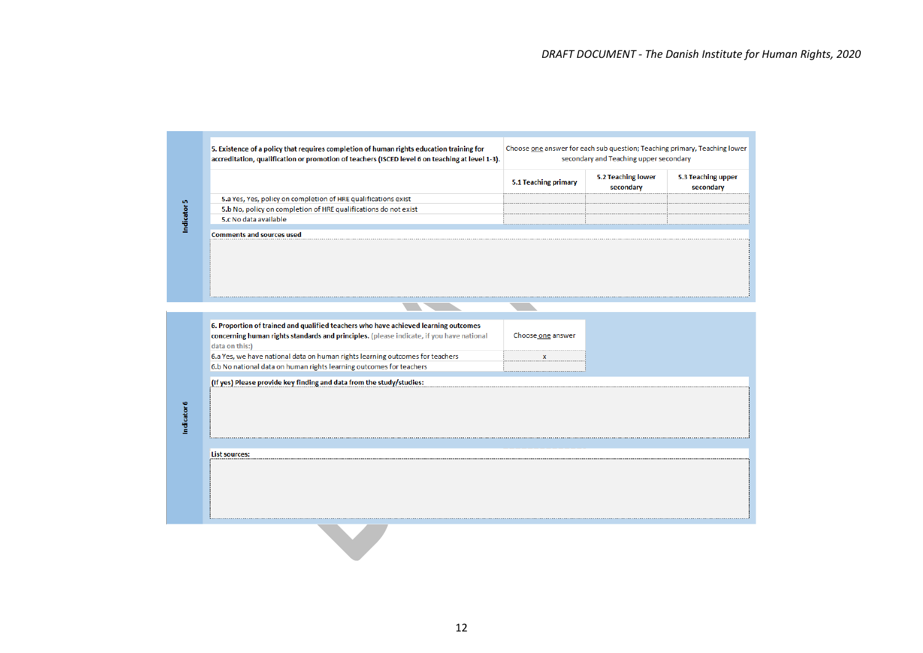|                                                                 | 5.1 Teaching primary | 5.2 Teaching lower | 5.3 Teaching upper |
|-----------------------------------------------------------------|----------------------|--------------------|--------------------|
| 5.a Yes, Yes, policy on completion of HRE qualifications exist  |                      |                    |                    |
| 5.b No, policy on completion of HRE qualifications do not exist |                      |                    |                    |
| 5.c No data available                                           |                      |                    |                    |
| <b>Comments and sources used</b>                                |                      |                    |                    |
|                                                                 |                      |                    |                    |
|                                                                 |                      |                    |                    |

**Tara** 

**The Company of the Company of the Company of the Company of the Company of the Company of the Company of the Company of the Company of the Company of the Company of the Company of the Company of the Company of the Company** 

| 6. Proportion of trained and qualified teachers who have achieved learning outcomes<br>concerning human rights standards and principles. (please indicate, if you have national<br>data on this:) | Choose one answer |  |
|---------------------------------------------------------------------------------------------------------------------------------------------------------------------------------------------------|-------------------|--|
| 6.a Yes, we have national data on human rights learning outcomes for teachers                                                                                                                     |                   |  |
| 6.b No national data on human rights learning outcomes for teachers                                                                                                                               |                   |  |
| (If yes) Please provide key finding and data from the study/studies:                                                                                                                              |                   |  |
|                                                                                                                                                                                                   |                   |  |
|                                                                                                                                                                                                   |                   |  |
|                                                                                                                                                                                                   |                   |  |
|                                                                                                                                                                                                   |                   |  |
|                                                                                                                                                                                                   |                   |  |
|                                                                                                                                                                                                   |                   |  |
|                                                                                                                                                                                                   |                   |  |
| <b>List sources:</b>                                                                                                                                                                              |                   |  |
|                                                                                                                                                                                                   |                   |  |
|                                                                                                                                                                                                   |                   |  |
|                                                                                                                                                                                                   |                   |  |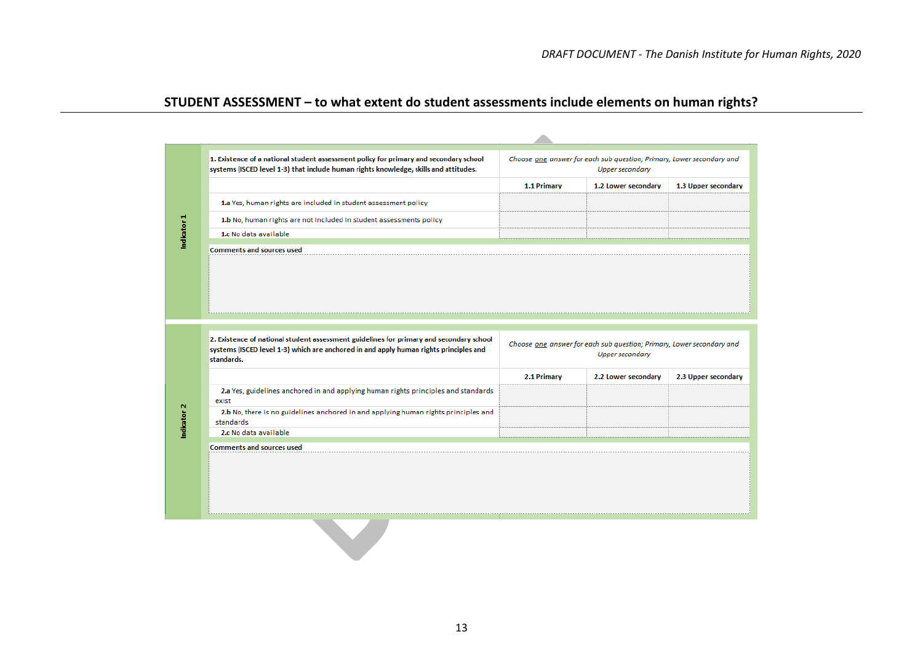## **STUDENT ASSESSMENT – to what extent do student assessments include elements on human rights?**

|                        | 1. Existence of a national student assessment policy for primary and secondary school<br>systems (ISCED level 1-3) that include human rights knowledge, skills and attitudes. |             | Choose one answer for each sub question; Primary, Lower secondary and<br>Upper secondary        |                     |
|------------------------|-------------------------------------------------------------------------------------------------------------------------------------------------------------------------------|-------------|-------------------------------------------------------------------------------------------------|---------------------|
|                        |                                                                                                                                                                               | 1.1 Primary | 1.2 Lower secondary                                                                             | 1.3 Upper secondary |
|                        | 1.a Yes, human rights are included in student assessment policy                                                                                                               |             |                                                                                                 |                     |
|                        | 1.b No, human rights are not included in student assessments policy                                                                                                           |             |                                                                                                 |                     |
| Indicator 1            | 1.c No data available                                                                                                                                                         |             |                                                                                                 |                     |
|                        |                                                                                                                                                                               |             |                                                                                                 |                     |
|                        | 2. Existence of national student assessment guidelines for primary and secondary school                                                                                       |             |                                                                                                 |                     |
|                        | systems (ISCED level 1-3) which are anchored in and apply human rights principles and<br>standards.                                                                           |             | Choose one answer for each sub question; Primary, Lower secondary and<br><b>Upper secondary</b> |                     |
|                        |                                                                                                                                                                               | 2.1 Primary | 2.2 Lower secondary                                                                             |                     |
|                        | 2.a Yes, guidelines anchored in and applying human rights principles and standards<br>exist                                                                                   |             |                                                                                                 | 2.3 Upper secondary |
|                        | 2.b No, there is no guidelines anchored in and applying human rights principles and<br>standards                                                                              |             |                                                                                                 |                     |
|                        | 2.c No data available                                                                                                                                                         |             |                                                                                                 |                     |
| Indicator <sub>2</sub> | <b>Comments and sources used</b>                                                                                                                                              |             |                                                                                                 |                     |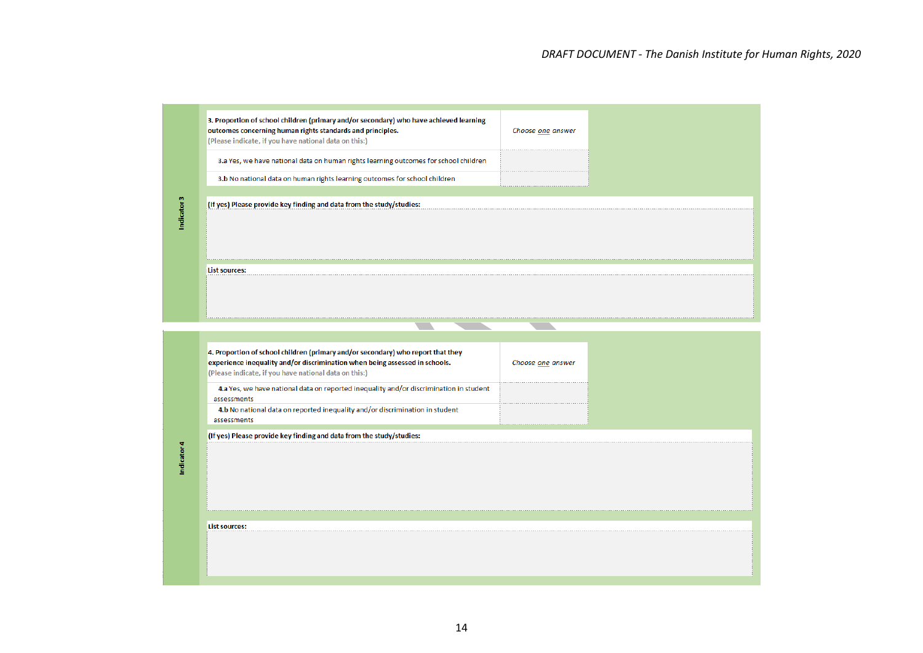| 3. Proportion of school children (primary and/or secondary) who have achieved learning<br>outcomes concerning human rights standards and principles.<br>(Please indicate, if you have national data on this:) | Choose one answer |  |
|---------------------------------------------------------------------------------------------------------------------------------------------------------------------------------------------------------------|-------------------|--|
| 3.a Yes, we have national data on human rights learning outcomes for school children                                                                                                                          |                   |  |
| 3.b No national data on human rights learning outcomes for school children                                                                                                                                    |                   |  |
| (If yes) Please provide key finding and data from the study/studies:                                                                                                                                          |                   |  |
|                                                                                                                                                                                                               |                   |  |
| List sources:                                                                                                                                                                                                 |                   |  |

| experience inequality and/or discrimination when being assessed in schools.                           | 4. Proportion of school children (primary and/or secondary) who report that they<br>Choose one answer |  |  |
|-------------------------------------------------------------------------------------------------------|-------------------------------------------------------------------------------------------------------|--|--|
| (Please indicate, if you have national data on this:)                                                 |                                                                                                       |  |  |
| 4.a Yes, we have national data on reported inequality and/or discrimination in student<br>assessments |                                                                                                       |  |  |
| 4.b No national data on reported inequality and/or discrimination in student<br>assessments           |                                                                                                       |  |  |
| (If yes) Please provide key finding and data from the study/studies:                                  |                                                                                                       |  |  |
|                                                                                                       |                                                                                                       |  |  |
|                                                                                                       |                                                                                                       |  |  |
|                                                                                                       |                                                                                                       |  |  |
|                                                                                                       |                                                                                                       |  |  |
|                                                                                                       |                                                                                                       |  |  |
|                                                                                                       |                                                                                                       |  |  |
|                                                                                                       |                                                                                                       |  |  |
|                                                                                                       |                                                                                                       |  |  |
|                                                                                                       |                                                                                                       |  |  |
|                                                                                                       |                                                                                                       |  |  |
| <b>List sources:</b>                                                                                  |                                                                                                       |  |  |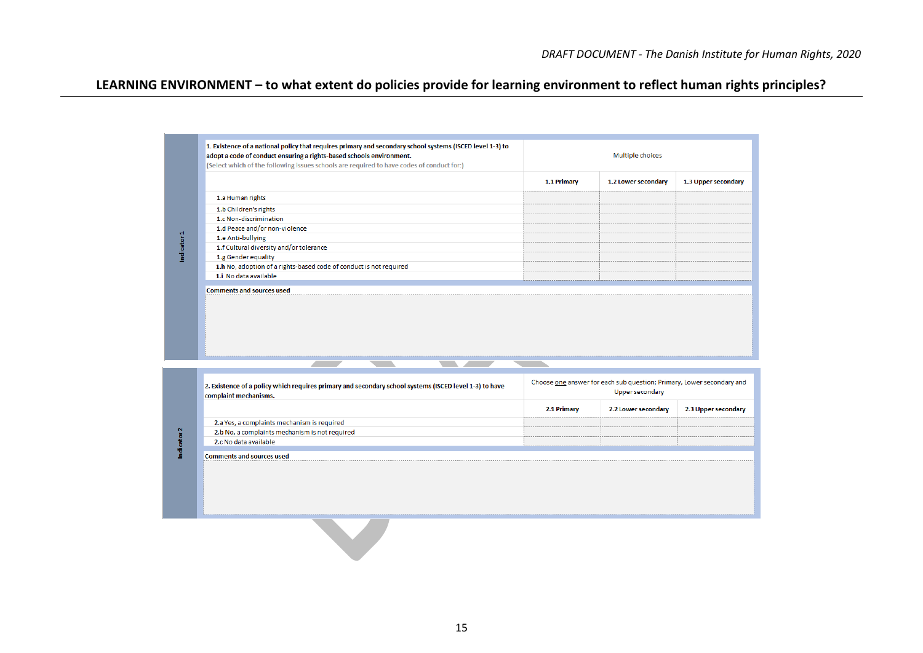## **LEARNING ENVIRONMENT – to what extent do policies provide for learning environment to reflect human rights principles?**

|                        | 1. Existence of a national policy that requires primary and secondary school systems (ISCED level 1-3) to<br>adopt a code of conduct ensuring a rights-based schools environment.<br>(Select which of the following issues schools are required to have codes of conduct for:) |             | Multiple choices                                                                                |                     |
|------------------------|--------------------------------------------------------------------------------------------------------------------------------------------------------------------------------------------------------------------------------------------------------------------------------|-------------|-------------------------------------------------------------------------------------------------|---------------------|
|                        |                                                                                                                                                                                                                                                                                | 1.1 Primary | 1.2 Lower secondary                                                                             | 1.3 Upper secondary |
|                        | 1.a Human rights                                                                                                                                                                                                                                                               |             |                                                                                                 |                     |
|                        | 1.b Children's rights                                                                                                                                                                                                                                                          |             |                                                                                                 |                     |
|                        | 1.c Non-discrimination                                                                                                                                                                                                                                                         |             |                                                                                                 |                     |
|                        | 1.d Peace and/or non-violence                                                                                                                                                                                                                                                  |             |                                                                                                 |                     |
|                        | 1.e Anti-bullying                                                                                                                                                                                                                                                              |             |                                                                                                 |                     |
|                        | 1.f Cultural diversity and/or tolerance                                                                                                                                                                                                                                        |             |                                                                                                 |                     |
| Indicator 1            | 1.g Gender equality                                                                                                                                                                                                                                                            |             |                                                                                                 |                     |
|                        | 1.h No, adoption of a rights-based code of conduct is not required                                                                                                                                                                                                             |             |                                                                                                 |                     |
|                        | 1.i No data available                                                                                                                                                                                                                                                          |             |                                                                                                 |                     |
|                        |                                                                                                                                                                                                                                                                                |             |                                                                                                 |                     |
|                        |                                                                                                                                                                                                                                                                                |             |                                                                                                 |                     |
|                        | 2. Existence of a policy which requires primary and secondary school systems (ISCED level 1-3) to have<br>complaint mechanisms.                                                                                                                                                |             | Choose one answer for each sub question; Primary, Lower secondary and<br><b>Upper secondary</b> |                     |
|                        |                                                                                                                                                                                                                                                                                | 2.1 Primary | 2.2 Lower secondary                                                                             | 2.3 Upper secondary |
|                        | 2.a Yes, a complaints mechanism is required                                                                                                                                                                                                                                    |             |                                                                                                 |                     |
|                        | 2.b No, a complaints mechanism is not required                                                                                                                                                                                                                                 |             |                                                                                                 |                     |
|                        | 2.c No data available                                                                                                                                                                                                                                                          |             |                                                                                                 |                     |
| Indicator <sub>2</sub> | <b>Comments and sources used</b>                                                                                                                                                                                                                                               |             |                                                                                                 |                     |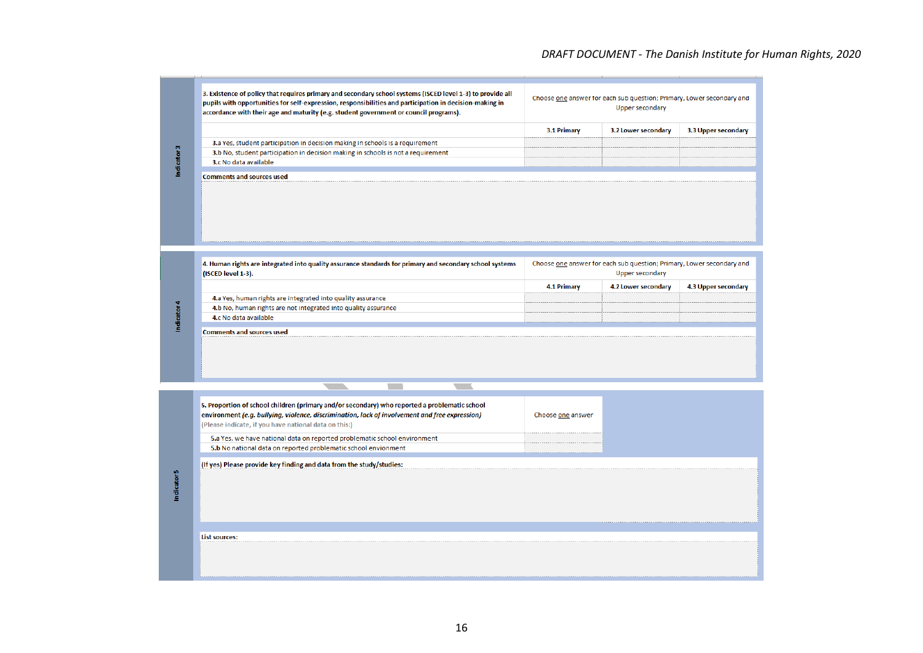### *DRAFT DOCUMENT - The Danish Institute for Human Rights, 2020*

| pupils with opportunities for self-expression, responsibilities and participation in decision-making in<br>accordance with their age and maturity (e.g. student government or council programs). |             | Choose one answer for each sub question; Primary, Lower secondary and<br>Upper secondary |                     |
|--------------------------------------------------------------------------------------------------------------------------------------------------------------------------------------------------|-------------|------------------------------------------------------------------------------------------|---------------------|
|                                                                                                                                                                                                  | 3.1 Primary | 3.2 Lower secondary                                                                      | 3.3 Upper secondary |
| 3.a Yes, student participation in decision making in schools is a requirement                                                                                                                    |             |                                                                                          |                     |
| 3.b No, student participation in decision making in schools is not a requirement                                                                                                                 |             |                                                                                          |                     |
| 3.c No data available                                                                                                                                                                            |             |                                                                                          |                     |
| <b>Comments and sources used</b>                                                                                                                                                                 |             |                                                                                          |                     |

|                                                                | 4.1 Primary | 4.2 Lower secondary |  |
|----------------------------------------------------------------|-------------|---------------------|--|
| 4.a Yes, human rights are integrated into quality assurance    |             |                     |  |
| 4.b No, human rights are not integrated into quality assurance |             |                     |  |
| 4.c No data available                                          |             |                     |  |

| 5. Proportion of school children (primary and/or secondary) who reported a problematic school<br>environment (e.g. bullying, violence, discrimination, lack of involvement and free expression)<br>(Please indicate, if you have national data on this:) | Choose one answer |  |
|----------------------------------------------------------------------------------------------------------------------------------------------------------------------------------------------------------------------------------------------------------|-------------------|--|
| 5.a Yes, we have national data on reported problematic school environment                                                                                                                                                                                |                   |  |
| 5.b No national data on reported problematic school envionment                                                                                                                                                                                           |                   |  |
|                                                                                                                                                                                                                                                          |                   |  |
| List sources:                                                                                                                                                                                                                                            |                   |  |
|                                                                                                                                                                                                                                                          |                   |  |

16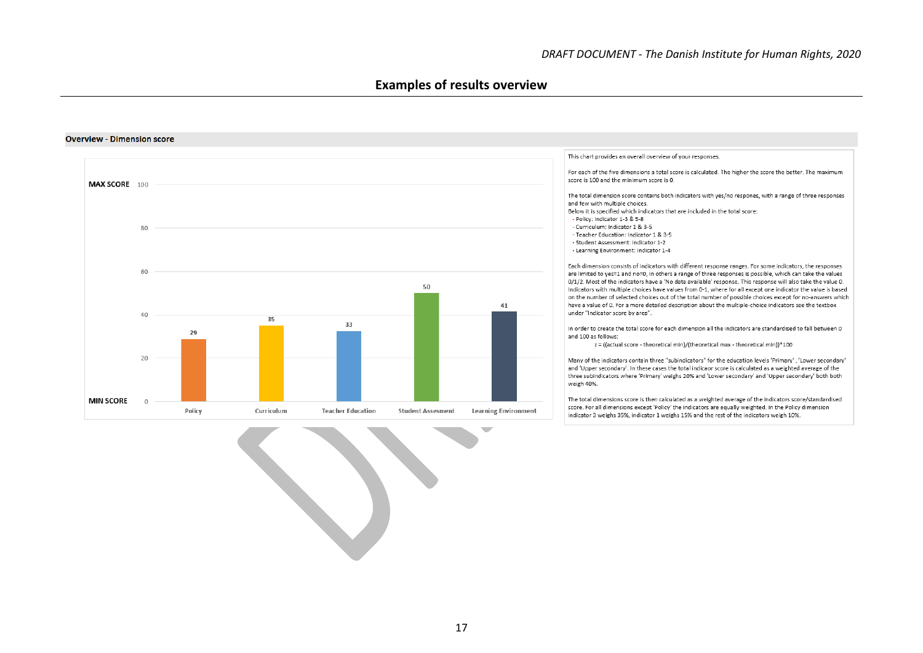#### **Examples of results overview**

#### This chart provides an overall overview of your responses. For each of the five dimensions a total score is calculated. The higher the score the better. The maximum score is 100 and the minimum score is 0. MAX SCORE 100 The total dimension score contains both indicators with yes/no respones, with a range of three responses and few with multiple choices. Below it is specified which indicators that are included in the total score: - Policy: Indicator 1-3 & 5-8 - Curriculum: Indicator 1 & 3-5 80 - Teacher Education: Indicator 1 & 3-5 - Student Assessment: Indicator 1-2 - Learning Environment: Indicator 1-4 Each dimension consists of indicators with different response ranges. For some indicators, the responses 60 are limited to yes=1 and no=0, in others a range of three responses is possible, which can take the values 0/1/2. Most of the indicators have a 'No data available' response. This response will also take the value 0. 50 Indicators with multiple choices have values from 0-1, where for all except one indicator the value is based on the number of selected choices out of the total number of possible choices except for no-answers which 41 have a value of 0. For a more detailed description about the multiple-choice indicators see the textbox under "Indicator score by area". 40  $35$ 33 In order to create the total score for each dimension all the indicators are standardised to fall between 0  $29$ and 100 as follows: z = ((actual score - theoretical min)/(theoretical max - theoretical min))\*100  $20$ Many of the indicators contain three "subindicators" for the education levels 'Primary', 'Lower secondary' and 'Upper secondary'. In these cases the total indicaor score is calculated as a weighted average of the three subindicators where 'Primary' weighs 20% and 'Lower secondary' and 'Upper secondary' both both weigh 40%. The total dimensions score is then calculated as a weighted average of the indicators score/standardised **MIN SCORE**  $\overline{0}$ score. For all dimensions except 'Policy' the indicators are equally weighted. In the Policy dimension Policy Curriculum **Teacher Education Student Assesment Learning Environment** indicator 3 weighs 35%, indicator 1 weighs 15% and the rest of the indicators weigh 10%.

#### **Overview - Dimension score**

17

v.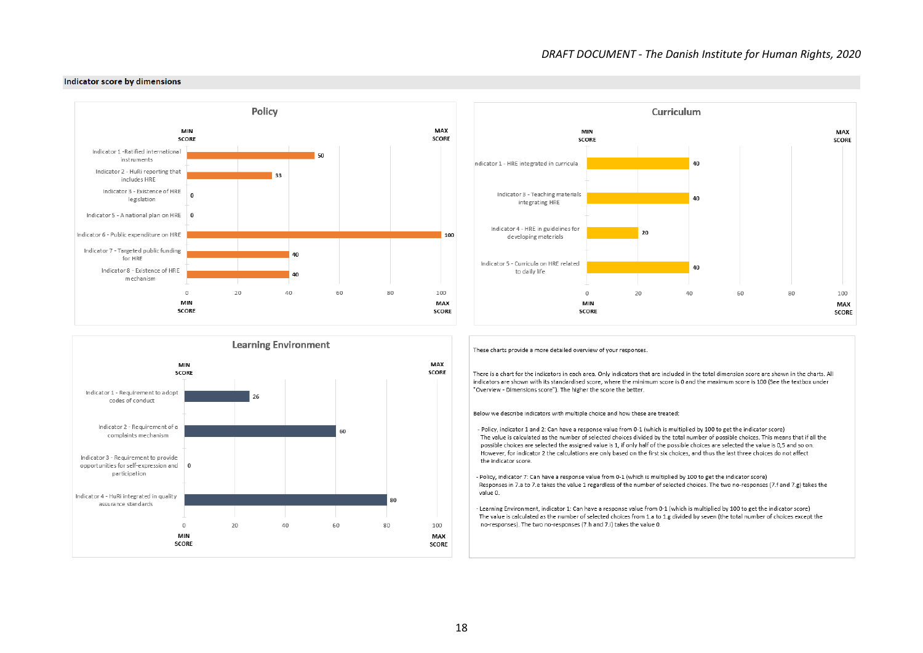

MAX

**SCORE** 

100

**MAX** 

**SCORE** 

Curriculum



#### Indicator score by dimensions



MIN

**SCORE** 



These charts provide a more detailed overview of your responses.

There is a chart for the indicators in each area. Only indicators that are included in the total dimension score are shown in the charts. All indicators are shown with its standardised score, where the minimum score is 0 and the maximum score is 100 (See the textbox under "Overview - Dimensions score"). The higher the score the better.

Below we describe indicators with multiple choice and how these are treated:

- Policy, indicator 1 and 2: Can have a response value from 0-1 (which is multiplied by 100 to get the indicator score) The value is calculated as the number of selected choices divided by the total number of possible choices. This means that if all the possible choices are selected the assigned value is 1, if only half of the possible choices are selected the value is 0,5 and so on. However, for indicator 2 the calculations are only based on the first six choices, and thus the last three choices do not affect the indicator score.

- Policy, indicator 7: Can have a response value from 0-1 (which is multiplied by 100 to get the indicator score) Responses in 7.a to 7.e takes the value 1 regardless of the number of selected choices. The two no-responses (7.f and 7.g) takes the value 0.

- Learning Environment, indicator 1: Can have a response value from 0-1 (which is multiplied by 100 to get the indicator score) The value is calculated as the number of selected choices from 1.a to 1.g divided by seven (the total number of choices except the no-responses). The two no-responses (7.h and 7.i) takes the value 0.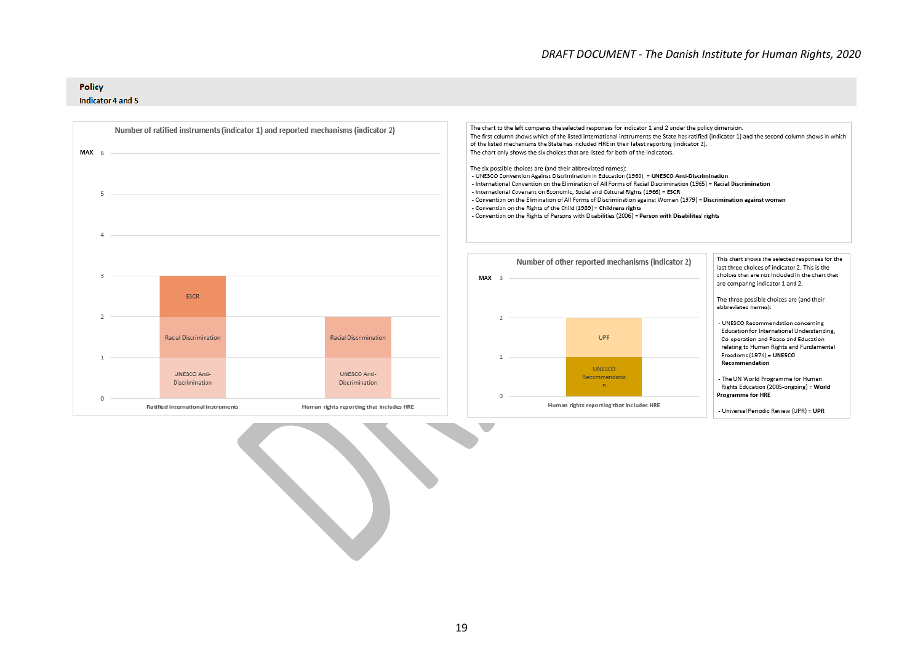#### Policy

#### Indicator 4 and 5